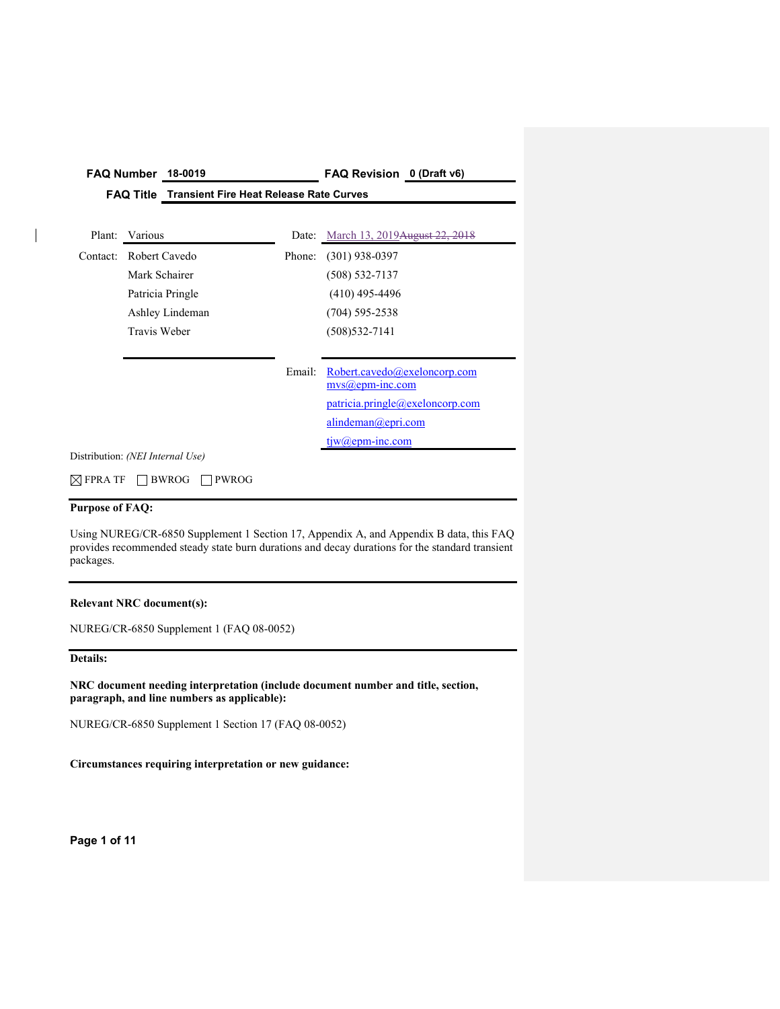| FAQ Title Transient Fire Heat Release Rate Curves<br>Various<br>Plant:<br>Date: March 13, 2019 August 22, 2018<br>Robert Cavedo<br>$(301)$ 938-0397<br>Contact:<br>Phone:<br>Mark Schairer<br>$(508) 532 - 7137$<br>$(410)$ 495-4496<br>Patricia Pringle<br>Ashley Lindeman<br>$(704)$ 595-2538<br>Travis Weber<br>$(508)$ 532-7141<br>Robert.cavedo@exeloncorp.com<br>Email:<br>$mvs(a)$ epm-inc.com<br>patricia.pringle@exeloncorp.com<br>alindeman@epri.com<br>$tiw(a)$ epm-inc.com<br>Distribution: (NEI Internal Use) | <b>FAQ Number</b> | 18-0019 | FAQ Revision 0 (Draft v6) |
|----------------------------------------------------------------------------------------------------------------------------------------------------------------------------------------------------------------------------------------------------------------------------------------------------------------------------------------------------------------------------------------------------------------------------------------------------------------------------------------------------------------------------|-------------------|---------|---------------------------|
|                                                                                                                                                                                                                                                                                                                                                                                                                                                                                                                            |                   |         |                           |
|                                                                                                                                                                                                                                                                                                                                                                                                                                                                                                                            |                   |         |                           |
|                                                                                                                                                                                                                                                                                                                                                                                                                                                                                                                            |                   |         |                           |
|                                                                                                                                                                                                                                                                                                                                                                                                                                                                                                                            |                   |         |                           |
|                                                                                                                                                                                                                                                                                                                                                                                                                                                                                                                            |                   |         |                           |
|                                                                                                                                                                                                                                                                                                                                                                                                                                                                                                                            |                   |         |                           |
|                                                                                                                                                                                                                                                                                                                                                                                                                                                                                                                            |                   |         |                           |
|                                                                                                                                                                                                                                                                                                                                                                                                                                                                                                                            |                   |         |                           |
|                                                                                                                                                                                                                                                                                                                                                                                                                                                                                                                            |                   |         |                           |
|                                                                                                                                                                                                                                                                                                                                                                                                                                                                                                                            |                   |         |                           |
|                                                                                                                                                                                                                                                                                                                                                                                                                                                                                                                            |                   |         |                           |
|                                                                                                                                                                                                                                                                                                                                                                                                                                                                                                                            |                   |         |                           |
|                                                                                                                                                                                                                                                                                                                                                                                                                                                                                                                            |                   |         |                           |
|                                                                                                                                                                                                                                                                                                                                                                                                                                                                                                                            |                   |         |                           |

 $\boxtimes$  FPRA TF  $\Box$  BWROG  $\Box$  PWROG

## **Purpose of FAQ:**

Using NUREG/CR-6850 Supplement 1 Section 17, Appendix A, and Appendix B data, this FAQ provides recommended steady state burn durations and decay durations for the standard transient packages.

## **Relevant NRC document(s):**

NUREG/CR-6850 Supplement 1 (FAQ 08-0052)

#### **Details:**

**NRC document needing interpretation (include document number and title, section, paragraph, and line numbers as applicable):** 

NUREG/CR-6850 Supplement 1 Section 17 (FAQ 08-0052)

## **Circumstances requiring interpretation or new guidance:**

**Page 1 of 11**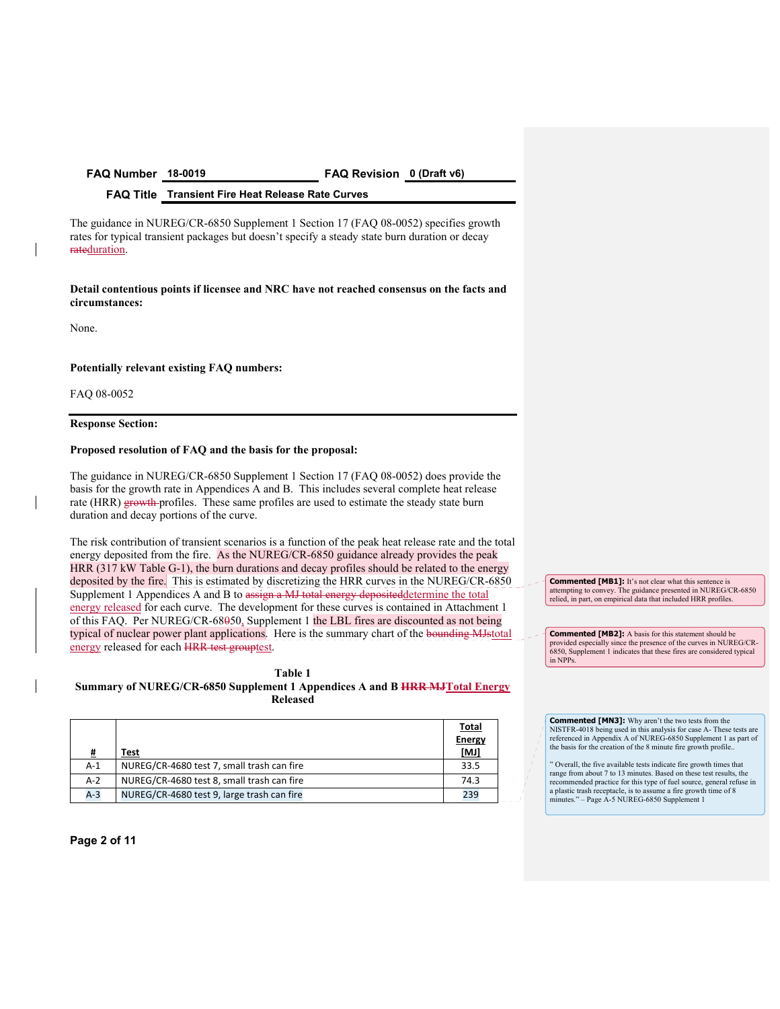**FAQ Number 18-0019 FAQ Revision 0 (Draft v6)** 

**FAQ Title Transient Fire Heat Release Rate Curves** 

The guidance in NUREG/CR-6850 Supplement 1 Section 17 (FAQ 08-0052) specifies growth rates for typical transient packages but doesn't specify a steady state burn duration or decay rateduration.

**Detail contentious points if licensee and NRC have not reached consensus on the facts and circumstances:** 

None.

#### **Potentially relevant existing FAQ numbers:**

FAQ 08-0052

#### **Response Section:**

#### **Proposed resolution of FAQ and the basis for the proposal:**

The guidance in NUREG/CR-6850 Supplement 1 Section 17 (FAQ 08-0052) does provide the basis for the growth rate in Appendices A and B. This includes several complete heat release rate (HRR) growth profiles. These same profiles are used to estimate the steady state burn duration and decay portions of the curve.

The risk contribution of transient scenarios is a function of the peak heat release rate and the total energy deposited from the fire. As the NUREG/CR-6850 guidance already provides the peak HRR (317 kW Table G-1), the burn durations and decay profiles should be related to the energy deposited by the fire. This is estimated by discretizing the HRR curves in the NUREG/CR-6850 Supplement 1 Appendices A and B to assign a MJ total energy deposited determine the total energy released for each curve. The development for these curves is contained in Attachment 1 of this FAQ. Per NUREG/CR-68050, Supplement 1 the LBL fires are discounted as not being typical of nuclear power plant applications. Here is the summary chart of the bounding MJstotal energy released for each HRR test grouptest.

#### **Table 1**

**Summary of NUREG/CR-6850 Supplement 1 Appendices A and B HRR MJTotal Energy Released** 

| #     | Test                                       | <b>Total</b><br><b>Energy</b><br>[MJ] |
|-------|--------------------------------------------|---------------------------------------|
| $A-1$ | NUREG/CR-4680 test 7, small trash can fire | 33.5                                  |
| $A-2$ | NUREG/CR-4680 test 8, small trash can fire | 74.3                                  |
| $A-3$ | NUREG/CR-4680 test 9, large trash can fire | 239                                   |

**Commented [MB1]:** It's not clear what this sentence is attempting to convey. The guidance presented in NUREG/CR-6850 relied, in part, on empirical data that included HRR profiles.

**Commented [MB2]:** A basis for this statement should be provided especially since the presence of the curves in NUREG/CR-6850, Supplement 1 indicates that these fires are considered typical in NPPs.

**Commented [MN3]:** Why aren't the two tests from the NISTFR-4018 being used in this analysis for case A- These tests are referenced in Appendix A of NUREG-6850 Supplement 1 as part of the basis for the creation of the 8 minute fire growth profile..

" Overall, the five available tests indicate fire growth times that range from about 7 to 13 minutes. Based on these test results, the recommended practice for this type of fuel source, general refuse in a plastic trash receptacle, is to assume a fire growth time of 8 minutes." – Page A-5 NUREG-6850 Supplement 1

**Page 2 of 11**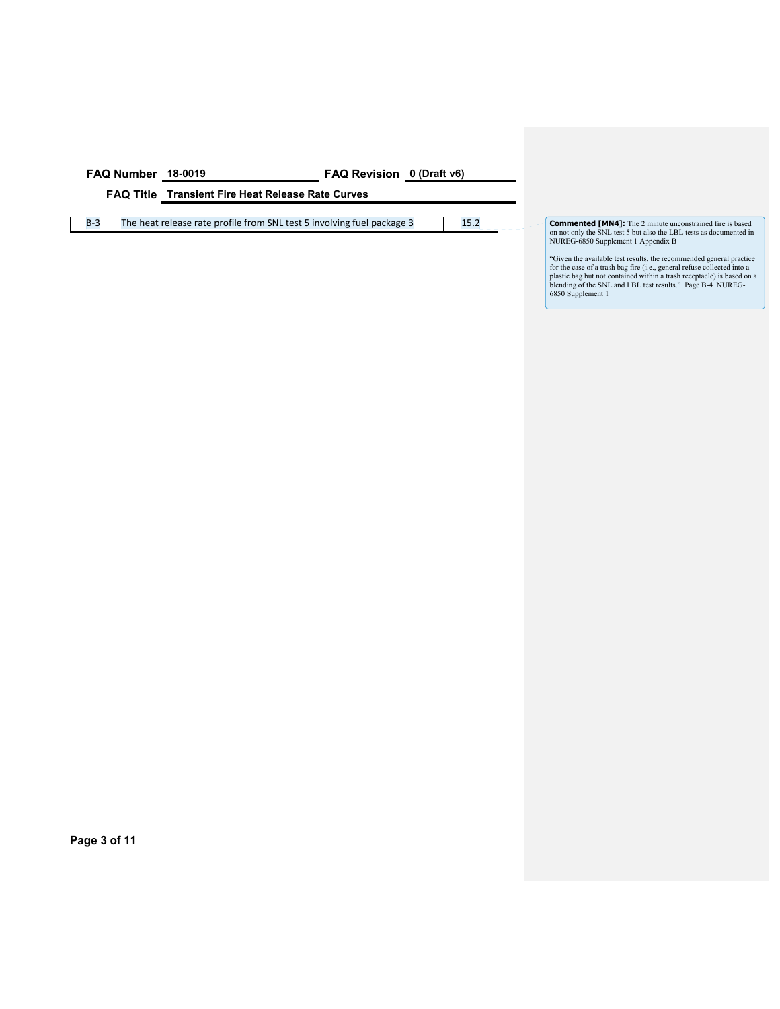| FAQ Number 18-0019 | <b>FAQ Revision</b> 0 (Draft v6) |  |
|--------------------|----------------------------------|--|
|                    |                                  |  |

**FAQ Title Transient Fire Heat Release Rate Curves** 

B-3 The heat release rate profile from SNL test 5 involving fuel package 3 15.2

on not only the SNL test 5 but also the LBL tests as documented in NUREG-6850 Supplement 1 Appendix B

"Given the available test results, the recommended general practice<br>for the case of a trash bag fire (i.e., general refuse collected into a<br>plastic bag but not contained within a trash receptacle) is based on a<br>blending of

**Page 3 of 11**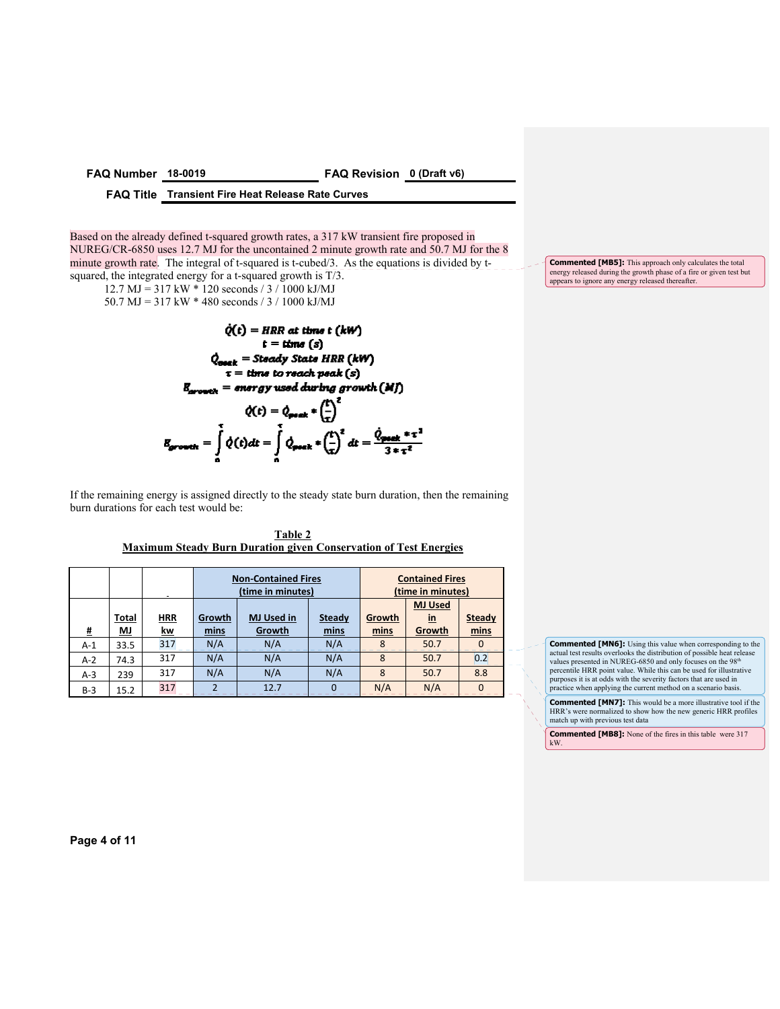#### **FAQ Number 18-0019 FAQ Revision 0 (Draft v6)**

#### **FAQ Title Transient Fire Heat Release Rate Curves**

Based on the already defined t-squared growth rates, a 317 kW transient fire proposed in NUREG/CR-6850 uses 12.7 MJ for the uncontained 2 minute growth rate and 50.7 MJ for the 8 minute growth rate. The integral of t-squared is t-cubed/3. As the equations is divided by tsquared, the integrated energy for a t-squared growth is T/3.

12.7 MJ = 317 kW \* 120 seconds / 3 / 1000 kJ/MJ

50.7 MJ = 317 kW \* 480 seconds / 3 / 1000 kJ/MJ

$$
\dot{Q}(t) = HRR \text{ at time } t \text{ (kW)}
$$
\n
$$
t = \text{time } (s)
$$
\n
$$
\dot{Q}_{\text{onick}} = \text{Steady Stats HRR (kW)}
$$
\n
$$
\tau = \text{time to reach peak } (s)
$$
\n
$$
B_{\text{proveck}} = \text{energy used during growth (MJ)}
$$
\n
$$
\dot{Q}(t) = \dot{Q}_{\text{proek}} * \left(\frac{t}{\tau}\right)^2
$$
\n
$$
B_{\text{proveck}} = \int_{0}^{t} \dot{Q}(t) dt = \int_{0}^{t} \dot{Q}_{\text{proek}} * \left(\frac{t}{\tau}\right)^2 dt = \frac{\dot{Q}_{\text{proek}} * \tau^2}{3 * \tau^2}
$$

If the remaining energy is assigned directly to the steady state burn duration, then the remaining burn durations for each test would be:

| Table 2                                                                 |  |
|-------------------------------------------------------------------------|--|
| <b>Maximum Steady Burn Duration given Conservation of Test Energies</b> |  |

|       |                           |                         | <b>Non-Contained Fires</b><br>(time in minutes) |                                                                |          | <b>Contained Fires</b><br>(time in minutes) |                |                       |
|-------|---------------------------|-------------------------|-------------------------------------------------|----------------------------------------------------------------|----------|---------------------------------------------|----------------|-----------------------|
|       |                           |                         |                                                 |                                                                |          |                                             | <b>MJ Used</b> |                       |
| #     | <b>Total</b><br><u>MJ</u> | <b>HRR</b><br><u>kw</u> | mins                                            | <b>MJ Used in</b><br>Growth<br><b>Steady</b><br>Growth<br>mins |          | Growth<br>mins                              | $in$<br>Growth | <b>Steady</b><br>mins |
| $A-1$ | 33.5                      | 317                     | N/A                                             | N/A                                                            | N/A      | 8                                           | 50.7           | $\Omega$              |
| $A-2$ | 74.3                      | 317                     | N/A                                             | N/A                                                            | N/A      | 8                                           | 50.7           | 0.2                   |
| $A-3$ | 239                       | 317                     | N/A                                             | N/A                                                            | N/A      | 8                                           | 50.7           | 8.8                   |
| $B-3$ | 15.2                      | 317                     | ว                                               | 12.7                                                           | $\Omega$ | N/A                                         | N/A            | $\Omega$              |

**Commented [MN6]:** Using this value when corresponding to the actual test results overlooks the distribution of possible heat release values presented in NUREG-6850 and only focuses on the 98<sup>th</sup> precentile HRR point value purposes it is at odds with the severity factors that are used in practice when applying the current method on a scenario basis.

**Commented [MN7]:** This would be a more illustrative tool if the HRR's were normalized to show how the new generic HRR profiles match up with previous test data

**Commented [MB8]:** None of the fires in this table were 317 kW.

**Page 4 of 11** 

**Commented [MB5]:** This approach only calculates the total energy released during the growth phase of a fire or given test but appears to ignore any energy released thereafter.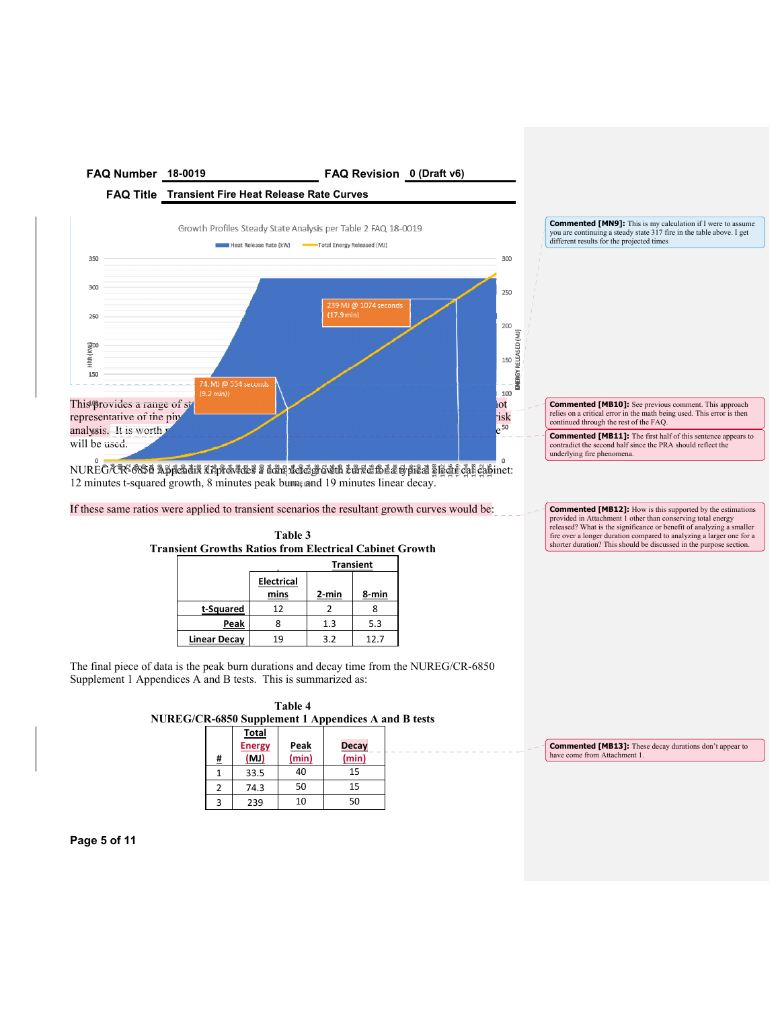

**FAQ Title Transient Fire Heat Release Rate Curves** 



**Commented [MN9]:** This is my calculation if I were to assume you are continuing a steady state 317 fire in the table above. I get different results for the projected times

**Commented [MB10]:** See previous comment. This approach relies on a critical error in the math being used. This error is then continued through the rest of the FAQ.

**Commented [MB11]:** The first half of this sentence appears to contradict the second half since the PRA should reflect the underlying fire phenomena.

**Commented [MB12]:** How is this supported by the estimations provided in Attachment 1 other than conserving total energy released? What is the significance or benefit of analyzing a smaller fire over a longer duration compared to analyzing a larger one for a shorter duration? This should be discussed in the purpose section.

 $NURE$ G/CR-6850 Appendix Lappendix a densite growth curve for a stypical steps and cabinet: 12 minutes t-squared growth, 8 minutes peak burn, and 19 minutes linear decay.

If these same ratios were applied to transient scenarios the resultant growth curves would be:

| <b>Transient Growths Ratios from Electrical Cabinet Growth</b> | Table 3                   |       |       |  |  |  |  |
|----------------------------------------------------------------|---------------------------|-------|-------|--|--|--|--|
| <b>Transient</b>                                               |                           |       |       |  |  |  |  |
|                                                                | <b>Electrical</b><br>mins | 2-min | 8-min |  |  |  |  |
| t-Squared                                                      | 12                        | 2     | 8     |  |  |  |  |
| Peak                                                           |                           | 1.3   | 5.3   |  |  |  |  |
| <b>Linear Decay</b>                                            |                           | 3.2   | 12.7  |  |  |  |  |

The final piece of data is the peak burn durations and decay time from the NUREG/CR-6850 Supplement 1 Appendices A and B tests. This is summarized as:

|                                                     |  | Table 4 |  |  |
|-----------------------------------------------------|--|---------|--|--|
| NUREG/CR-6850 Supplement 1 Appendices A and B tests |  |         |  |  |
|                                                     |  |         |  |  |

| # | <b>Total</b><br><b>Energy</b><br>(MJ) | Peak<br>(min) | <b>Decay</b><br>(min) |
|---|---------------------------------------|---------------|-----------------------|
|   | 33.5                                  | 40            | 15                    |
| 2 | 74.3                                  | 50            | 15                    |
| 3 | 239                                   | 10            | 50                    |

**Commented [MB13]:** These decay durations don't appear to have come from Attachment 1.

**Page 5 of 11**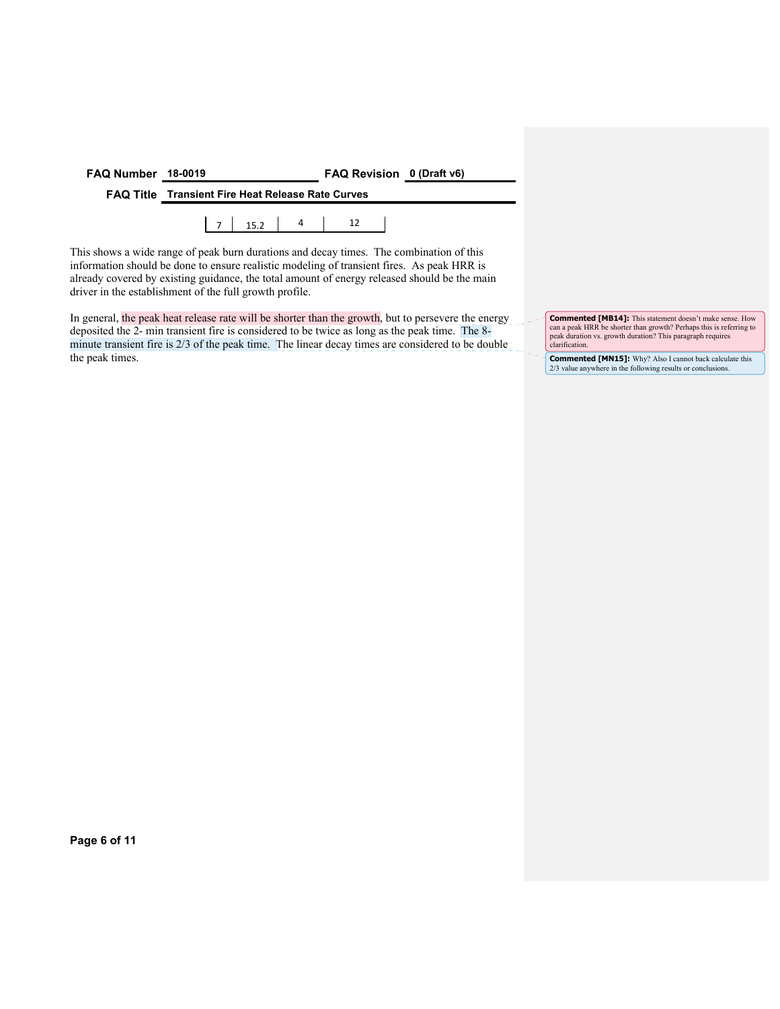| FAQ Number 18-0019 |                                                          | FAQ Revision 0 (Draft v6) |  |
|--------------------|----------------------------------------------------------|---------------------------|--|
|                    | <b>FAQ Title Transient Fire Heat Release Rate Curves</b> |                           |  |
|                    |                                                          |                           |  |

This shows a wide range of peak burn durations and decay times. The combination of this information should be done to ensure realistic modeling of transient fires. As peak HRR is already covered by existing guidance, the total amount of energy released should be the main driver in the establishment of the full growth profile.

In general, the peak heat release rate will be shorter than the growth, but to persevere the energy deposited the 2- min transient fire is considered to be twice as long as the peak time. The 8 minute transient fire is 2/3 of the peak time. The linear decay times are considered to be double the peak times.

**Commented [MB14]:** This statement doesn't make sense. How can a peak HRR be shorter than growth? Perhaps this is referring to peak duration vs. growth duration? This paragraph requires clarification.

**Commented [MN15]:** Why? Also I cannot back calculate this 2/3 value anywhere in the following results or conclusions.

**Page 6 of 11**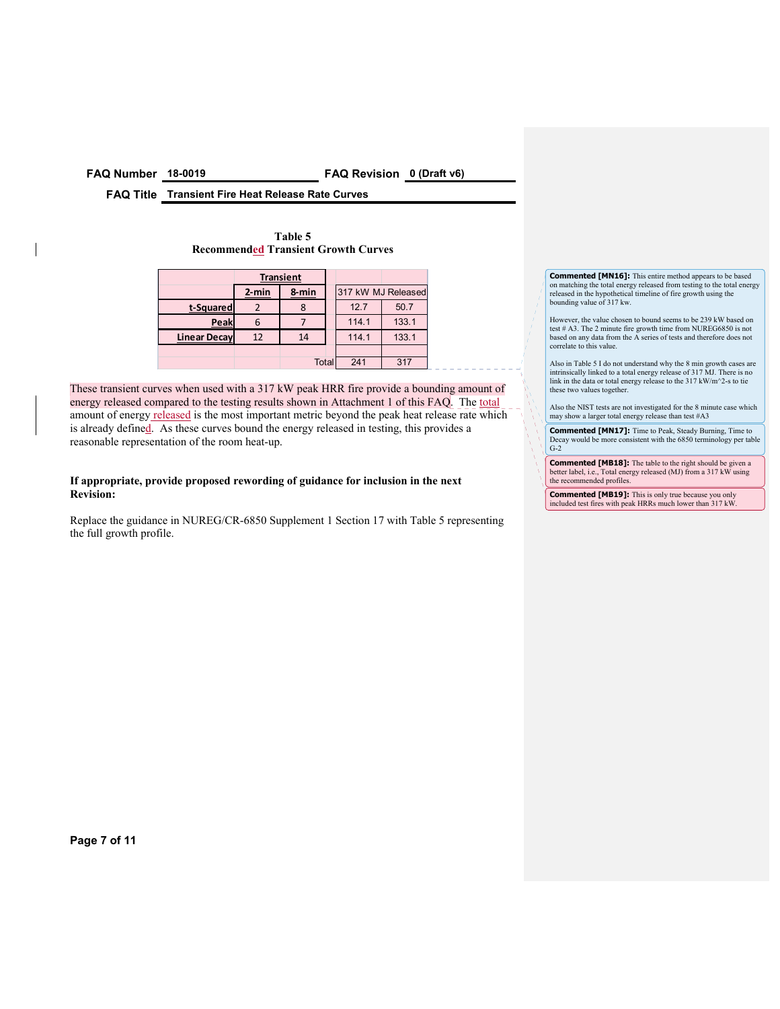**FAQ Number 18-0019 FAQ Revision 0 (Draft v6)** 

**FAQ Title Transient Fire Heat Release Rate Curves** 

| Table 5                                    |
|--------------------------------------------|
| <b>Recommended Transient Growth Curves</b> |

|                     | <b>Transient</b>  |       |       |       |                    |
|---------------------|-------------------|-------|-------|-------|--------------------|
|                     | $2$ -min<br>8-min |       |       |       | 317 kW MJ Released |
| t-Squared           |                   |       |       | 12.7  | 50.7               |
| Peak                |                   |       | 114.1 |       | 133.1              |
| <b>Linear Decay</b> | 12<br>14          |       |       | 114.1 | 133.1              |
|                     |                   |       |       |       |                    |
|                     |                   | Total |       | 241   | 317                |

These transient curves when used with a 317 kW peak HRR fire provide a bounding amount of energy released compared to the testing results shown in Attachment 1 of this FAQ. The total amount of energy released is the most important metric beyond the peak heat release rate which is already defined. As these curves bound the energy released in testing, this provides a reasonable representation of the room heat-up.

**If appropriate, provide proposed rewording of guidance for inclusion in the next Revision:** 

Replace the guidance in NUREG/CR-6850 Supplement 1 Section 17 with Table 5 representing the full growth profile.

**Commented [MN16]:** This entire method appears to be based on matching the total energy released from testing to the total energy released in the hypothetical timeline of fire growth using the bounding value of 317 kw.

However, the value chosen to bound seems to be 239 kW based on test # A3. The 2 minute fire growth time from NUREG6850 is not based on any data from the A series of tests and therefore does not correlate to this value.

Also in Table 5 I do not understand why the 8 min growth cases are intrinsically linked to a total energy release of 317 MJ. There is no link in the data or total energy release to the 317 kW/m^2-s to tie these two values together.

Also the NIST tests are not investigated for the 8 minute case which may show a larger total energy release than test #A3

**Commented [MN17]:** Time to Peak, Steady Burning, Time to Decay would be more consistent with the 6850 terminology per table G-2

**Commented [MB18]:** The table to the right should be given a better label, i.e., Total energy released (MJ) from a 317 kW using the recommended profiles.

**Commented [MB19]:** This is only true because you only included test fires with peak HRRs much lower than 317 kW.

**Page 7 of 11**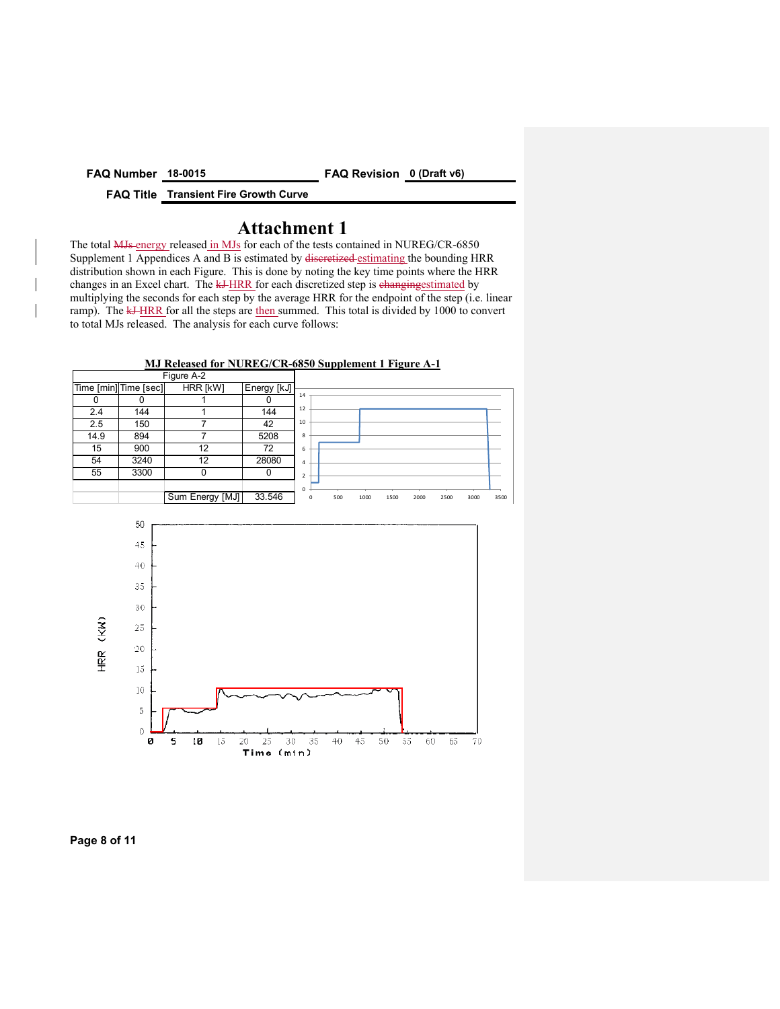**FAQ Number 18-0015 FAQ Revision 0 (Draft v6)** 

**FAQ Title Transient Fire Growth Curve** 

# **Attachment 1**

The total **MJs** energy released in MJs for each of the tests contained in NUREG/CR-6850 Supplement 1 Appendices A and B is estimated by discretized estimating the bounding HRR distribution shown in each Figure. This is done by noting the key time points where the HRR changes in an Excel chart. The kJ-HRR for each discretized step is changing estimated by multiplying the seconds for each step by the average HRR for the endpoint of the step (i.e. linear ramp). The  $\frac{k+HRR}{r}$  for all the steps are then summed. This total is divided by 1000 to convert to total MJs released. The analysis for each curve follows:



**MJ Released for NUREG/CR-6850 Supplement 1 Figure A-1** 

#### **Page 8 of 11**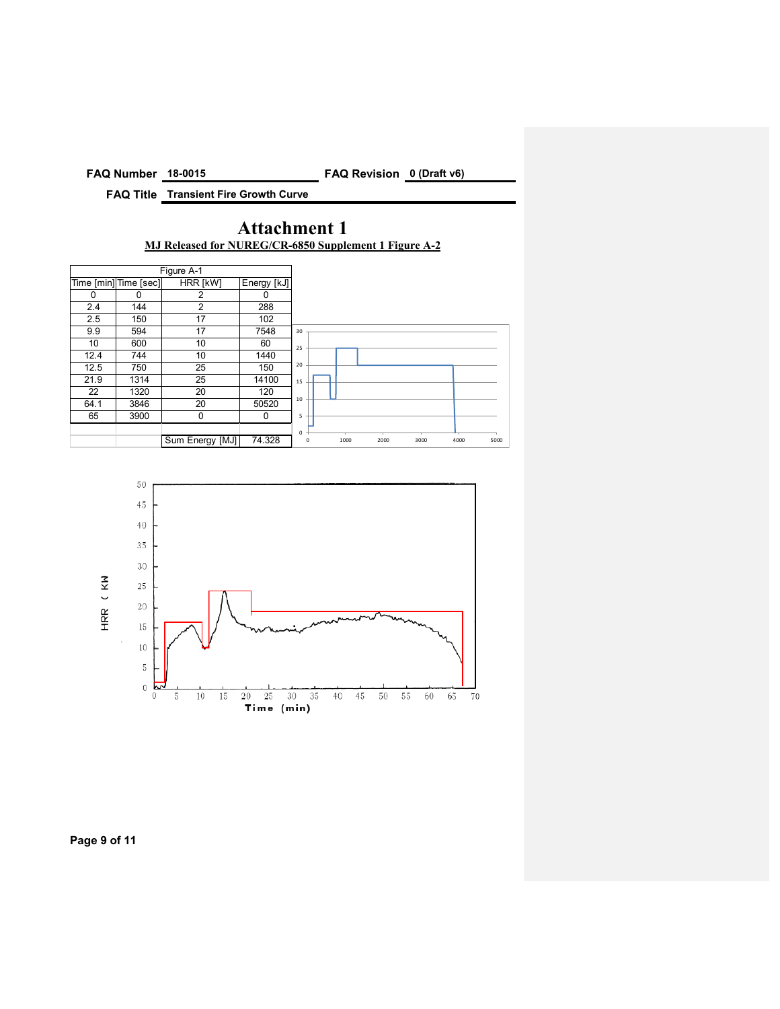**FAQ Number 18-0015 FAQ Revision 0 (Draft v6)** 

**FAQ Title Transient Fire Growth Curve** 

# **Attachment 1 MJ Released for NUREG/CR-6850 Supplement 1 Figure A-2**





**Page 9 of 11**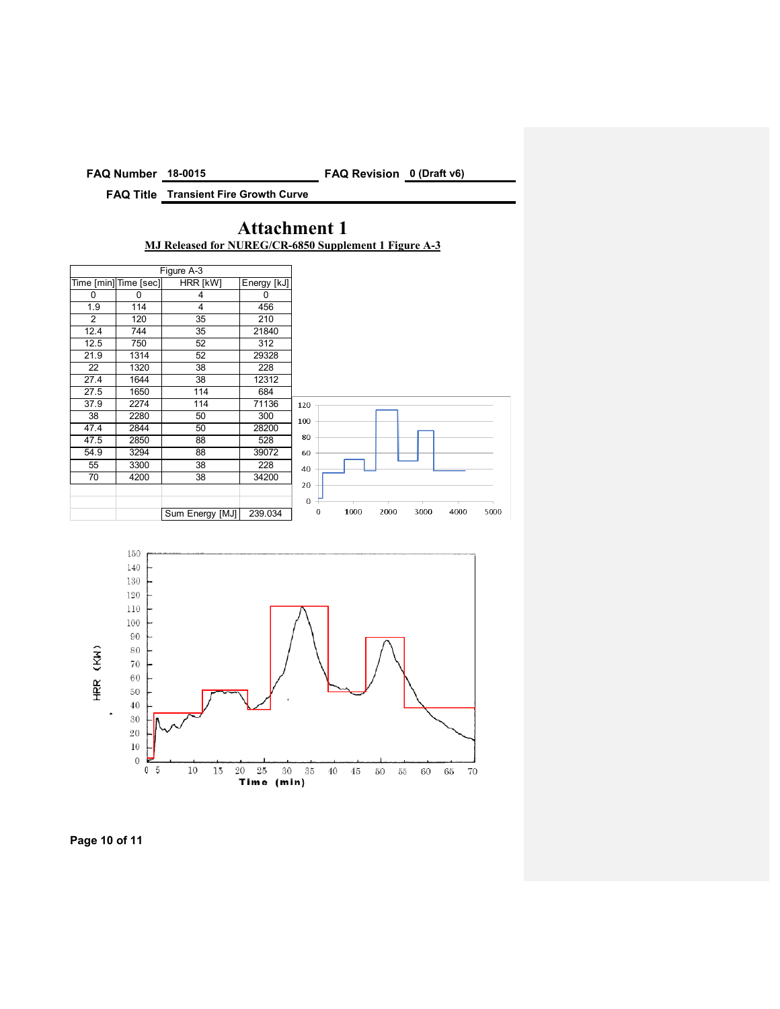**FAQ Number 18-0015 FAQ Revision 0 (Draft v6)** 

**FAQ Title Transient Fire Growth Curve** 

# **Attachment 1 MJ Released for NUREG/CR-6850 Supplement 1 Figure A-3**





**Page 10 of 11**